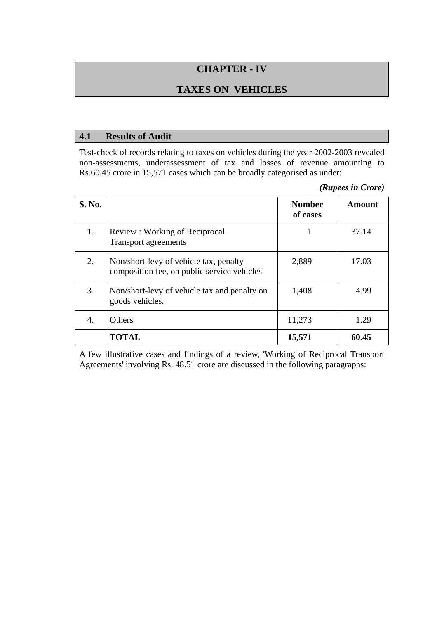# **CHAPTER - IV**

# **TAXES ON VEHICLES**

#### **4.1 Results of Audit**

Test-check of records relating to taxes on vehicles during the year 2002-2003 revealed non-assessments, underassessment of tax and losses of revenue amounting to Rs.60.45 crore in 15,571 cases which can be broadly categorised as under:

*(Rupees in Crore)* 

| S. No. |                                                                                       | <b>Number</b><br>of cases | Amount |
|--------|---------------------------------------------------------------------------------------|---------------------------|--------|
| 1.     | Review: Working of Reciprocal<br><b>Transport agreements</b>                          |                           | 37.14  |
| 2.     | Non/short-levy of vehicle tax, penalty<br>composition fee, on public service vehicles | 2,889                     | 17.03  |
| 3.     | Non/short-levy of vehicle tax and penalty on<br>goods vehicles.                       | 1,408                     | 4.99   |
| 4.     | Others                                                                                | 11,273                    | 1.29   |
|        | <b>TOTAL</b>                                                                          | 15,571                    | 60.45  |

A few illustrative cases and findings of a review, 'Working of Reciprocal Transport Agreements' involving Rs. 48.51 crore are discussed in the following paragraphs: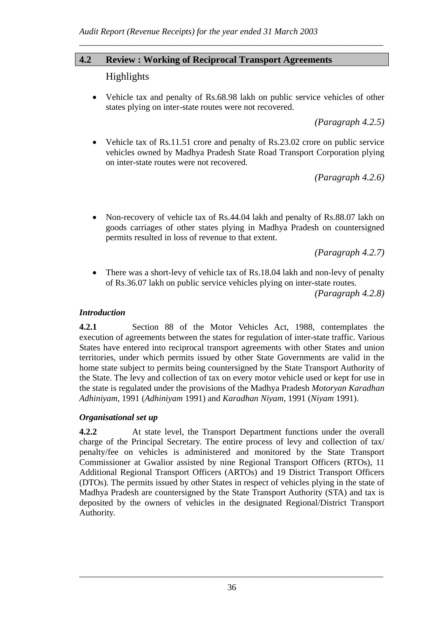# **4.2 Review : Working of Reciprocal Transport Agreements**

# Highlights

• Vehicle tax and penalty of Rs.68.98 lakh on public service vehicles of other states plying on inter-state routes were not recovered.

*\_\_\_\_\_\_\_\_\_\_\_\_\_\_\_\_\_\_\_\_\_\_\_\_\_\_\_\_\_\_\_\_\_\_\_\_\_\_\_\_\_\_\_\_\_\_\_\_\_\_\_\_\_\_\_\_\_\_\_\_\_\_\_\_\_\_\_\_\_* 

*(Paragraph 4.2.5)* 

• Vehicle tax of Rs.11.51 crore and penalty of Rs.23.02 crore on public service vehicles owned by Madhya Pradesh State Road Transport Corporation plying on inter-state routes were not recovered.

*(Paragraph 4.2.6)* 

• Non-recovery of vehicle tax of Rs.44.04 lakh and penalty of Rs.88.07 lakh on goods carriages of other states plying in Madhya Pradesh on countersigned permits resulted in loss of revenue to that extent.

*(Paragraph 4.2.7)* 

There was a short-levy of vehicle tax of Rs.18.04 lakh and non-levy of penalty of Rs.36.07 lakh on public service vehicles plying on inter-state routes.

*(Paragraph 4.2.8)* 

### *Introduction*

**4.2.1** Section 88 of the Motor Vehicles Act, 1988, contemplates the execution of agreements between the states for regulation of inter-state traffic. Various States have entered into reciprocal transport agreements with other States and union territories, under which permits issued by other State Governments are valid in the home state subject to permits being countersigned by the State Transport Authority of the State. The levy and collection of tax on every motor vehicle used or kept for use in the state is regulated under the provisions of the Madhya Pradesh *Motoryan Karadhan Adhiniyam*, 1991 (*Adhiniyam* 1991) and *Karadhan Niyam*, 1991 (*Niyam* 1991).

### *Organisational set up*

**4.2.2** At state level, the Transport Department functions under the overall charge of the Principal Secretary. The entire process of levy and collection of tax/ penalty/fee on vehicles is administered and monitored by the State Transport Commissioner at Gwalior assisted by nine Regional Transport Officers (RTOs), 11 Additional Regional Transport Officers (ARTOs) and 19 District Transport Officers (DTOs). The permits issued by other States in respect of vehicles plying in the state of Madhya Pradesh are countersigned by the State Transport Authority (STA) and tax is deposited by the owners of vehicles in the designated Regional/District Transport Authority.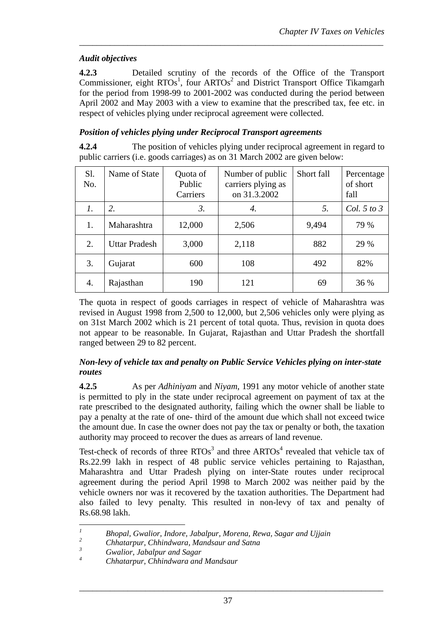# *Audit objectives*

**4.2.3** Detailed scrutiny of the records of the Office of the Transport Commissioner, eight  $RTOs<sup>1</sup>$ , four  $ARTOs<sup>2</sup>$  and District Transport Office Tikamgarh for the period from 1998-99 to 2001-2002 was conducted during the period between April 2002 and May 2003 with a view to examine that the prescribed tax, fee etc. in respect of vehicles plying under reciprocal agreement were collected.

*\_\_\_\_\_\_\_\_\_\_\_\_\_\_\_\_\_\_\_\_\_\_\_\_\_\_\_\_\_\_\_\_\_\_\_\_\_\_\_\_\_\_\_\_\_\_\_\_\_\_\_\_\_\_\_\_\_\_\_\_\_\_\_\_\_\_\_\_\_* 

## *Position of vehicles plying under Reciprocal Transport agreements*

**4.2.4** The position of vehicles plying under reciprocal agreement in regard to public carriers (i.e. goods carriages) as on 31 March 2002 are given below:

| Sl.<br>No.      | Name of State        | Quota of<br>Public<br>Carriers | Number of public<br>carriers plying as<br>on 31.3.2002 | Short fall | Percentage<br>of short<br>fall |
|-----------------|----------------------|--------------------------------|--------------------------------------------------------|------------|--------------------------------|
| $\mathcal{I}$ . | 2.                   | 3.                             | 4.                                                     | 5.         | Col. 5 to $3$                  |
| 1.              | Maharashtra          | 12,000                         | 2,506                                                  | 9,494      | 79 %                           |
| 2.              | <b>Uttar Pradesh</b> | 3,000                          | 2,118                                                  | 882        | 29 %                           |
| 3.              | Gujarat              | 600                            | 108                                                    | 492        | 82%                            |
| 4.              | Rajasthan            | 190                            | 121                                                    | 69         | 36 %                           |

The quota in respect of goods carriages in respect of vehicle of Maharashtra was revised in August 1998 from 2,500 to 12,000, but 2,506 vehicles only were plying as on 31st March 2002 which is 21 percent of total quota. Thus, revision in quota does not appear to be reasonable. In Gujarat, Rajasthan and Uttar Pradesh the shortfall ranged between 29 to 82 percent.

### *Non-levy of vehicle tax and penalty on Public Service Vehicles plying on inter-state routes*

**4.2.5** As per *Adhiniyam* and *Niyam*, 1991 any motor vehicle of another state is permitted to ply in the state under reciprocal agreement on payment of tax at the rate prescribed to the designated authority, failing which the owner shall be liable to pay a penalty at the rate of one- third of the amount due which shall not exceed twice the amount due. In case the owner does not pay the tax or penalty or both, the taxation authority may proceed to recover the dues as arrears of land revenue.

Test-check of records of three  $RTOs<sup>3</sup>$  and three  $ARTOs<sup>4</sup>$  revealed that vehicle tax of Rs.22.99 lakh in respect of 48 public service vehicles pertaining to Rajasthan, Maharashtra and Uttar Pradesh plying on inter-State routes under reciprocal agreement during the period April 1998 to March 2002 was neither paid by the vehicle owners nor was it recovered by the taxation authorities. The Department had also failed to levy penalty. This resulted in non-levy of tax and penalty of Rs.68.98 lakh.

 *1 Bhopal, Gwalior, Indore, Jabalpur, Morena, Rewa, Sagar and Ujjain* 

*<sup>2</sup> Chhatarpur, Chhindwara, Mandsaur and Satna* 

*<sup>3</sup> Gwalior, Jabalpur and Sagar* 

*<sup>4</sup> Chhatarpur, Chhindwara and Mandsaur*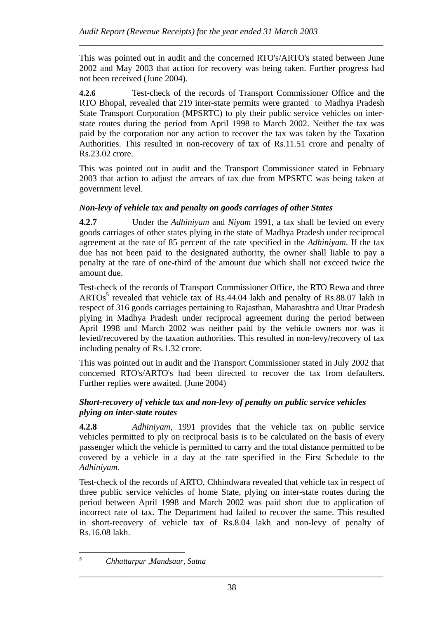This was pointed out in audit and the concerned RTO's/ARTO's stated between June 2002 and May 2003 that action for recovery was being taken. Further progress had not been received (June 2004).

*\_\_\_\_\_\_\_\_\_\_\_\_\_\_\_\_\_\_\_\_\_\_\_\_\_\_\_\_\_\_\_\_\_\_\_\_\_\_\_\_\_\_\_\_\_\_\_\_\_\_\_\_\_\_\_\_\_\_\_\_\_\_\_\_\_\_\_\_\_* 

**4.2.6** Test-check of the records of Transport Commissioner Office and the RTO Bhopal, revealed that 219 inter-state permits were granted to Madhya Pradesh State Transport Corporation (MPSRTC) to ply their public service vehicles on interstate routes during the period from April 1998 to March 2002. Neither the tax was paid by the corporation nor any action to recover the tax was taken by the Taxation Authorities. This resulted in non-recovery of tax of Rs.11.51 crore and penalty of Rs.23.02 crore.

This was pointed out in audit and the Transport Commissioner stated in February 2003 that action to adjust the arrears of tax due from MPSRTC was being taken at government level.

### *Non-levy of vehicle tax and penalty on goods carriages of other States*

**4.2.7** Under the *Adhiniyam* and *Niyam* 1991, a tax shall be levied on every goods carriages of other states plying in the state of Madhya Pradesh under reciprocal agreement at the rate of 85 percent of the rate specified in the *Adhiniyam*. If the tax due has not been paid to the designated authority, the owner shall liable to pay a penalty at the rate of one-third of the amount due which shall not exceed twice the amount due.

Test-check of the records of Transport Commissioner Office, the RTO Rewa and three  $ARTOs<sup>5</sup>$  revealed that vehicle tax of Rs.44.04 lakh and penalty of Rs.88.07 lakh in respect of 316 goods carriages pertaining to Rajasthan, Maharashtra and Uttar Pradesh plying in Madhya Pradesh under reciprocal agreement during the period between April 1998 and March 2002 was neither paid by the vehicle owners nor was it levied/recovered by the taxation authorities. This resulted in non-levy/recovery of tax including penalty of Rs.1.32 crore.

This was pointed out in audit and the Transport Commissioner stated in July 2002 that concerned RTO's/ARTO's had been directed to recover the tax from defaulters. Further replies were awaited. (June 2004)

### *Short-recovery of vehicle tax and non-levy of penalty on public service vehicles plying on inter-state routes*

**4.2.8** *Adhiniyam*, 1991 provides that the vehicle tax on public service vehicles permitted to ply on reciprocal basis is to be calculated on the basis of every passenger which the vehicle is permitted to carry and the total distance permitted to be covered by a vehicle in a day at the rate specified in the First Schedule to the *Adhiniyam*.

Test-check of the records of ARTO, Chhindwara revealed that vehicle tax in respect of three public service vehicles of home State, plying on inter-state routes during the period between April 1998 and March 2002 was paid short due to application of incorrect rate of tax. The Department had failed to recover the same. This resulted in short-recovery of vehicle tax of Rs.8.04 lakh and non-levy of penalty of Rs.16.08 lakh.

 *5 Chhattarpur ,Mandsaur, Satna*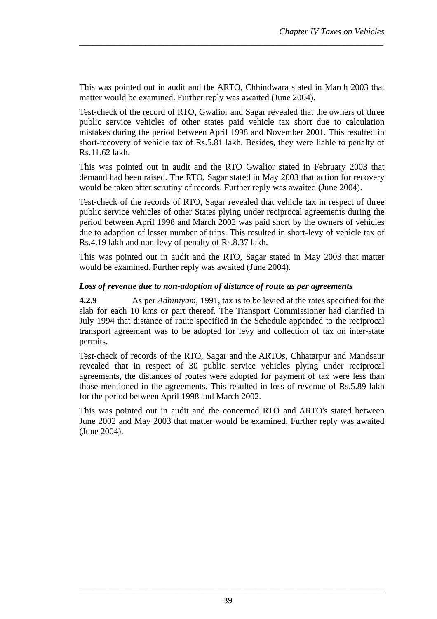This was pointed out in audit and the ARTO, Chhindwara stated in March 2003 that matter would be examined. Further reply was awaited (June 2004).

*\_\_\_\_\_\_\_\_\_\_\_\_\_\_\_\_\_\_\_\_\_\_\_\_\_\_\_\_\_\_\_\_\_\_\_\_\_\_\_\_\_\_\_\_\_\_\_\_\_\_\_\_\_\_\_\_\_\_\_\_\_\_\_\_\_\_\_\_\_* 

Test-check of the record of RTO, Gwalior and Sagar revealed that the owners of three public service vehicles of other states paid vehicle tax short due to calculation mistakes during the period between April 1998 and November 2001. This resulted in short-recovery of vehicle tax of Rs.5.81 lakh. Besides, they were liable to penalty of Rs.11.62 lakh.

This was pointed out in audit and the RTO Gwalior stated in February 2003 that demand had been raised. The RTO, Sagar stated in May 2003 that action for recovery would be taken after scrutiny of records. Further reply was awaited (June 2004).

Test-check of the records of RTO, Sagar revealed that vehicle tax in respect of three public service vehicles of other States plying under reciprocal agreements during the period between April 1998 and March 2002 was paid short by the owners of vehicles due to adoption of lesser number of trips. This resulted in short-levy of vehicle tax of Rs.4.19 lakh and non-levy of penalty of Rs.8.37 lakh.

This was pointed out in audit and the RTO, Sagar stated in May 2003 that matter would be examined. Further reply was awaited (June 2004).

#### *Loss of revenue due to non-adoption of distance of route as per agreements*

**4.2.9** As per *Adhiniyam,* 1991, tax is to be levied at the rates specified for the slab for each 10 kms or part thereof. The Transport Commissioner had clarified in July 1994 that distance of route specified in the Schedule appended to the reciprocal transport agreement was to be adopted for levy and collection of tax on inter-state permits.

Test-check of records of the RTO, Sagar and the ARTOs, Chhatarpur and Mandsaur revealed that in respect of 30 public service vehicles plying under reciprocal agreements, the distances of routes were adopted for payment of tax were less than those mentioned in the agreements. This resulted in loss of revenue of Rs.5.89 lakh for the period between April 1998 and March 2002.

This was pointed out in audit and the concerned RTO and ARTO's stated between June 2002 and May 2003 that matter would be examined. Further reply was awaited (June 2004).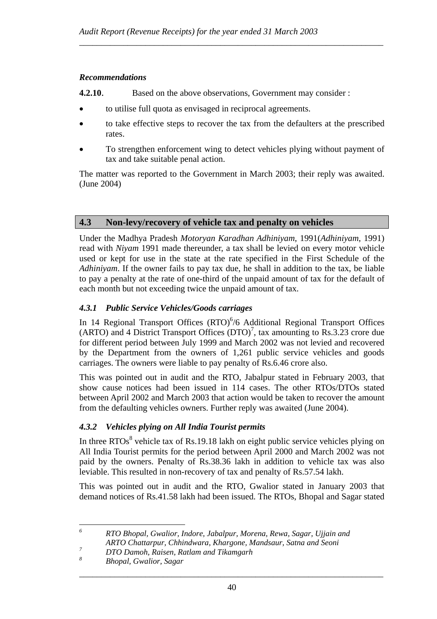#### *Recommendations*

- **4.2.10**. Based on the above observations, Government may consider :
- to utilise full quota as envisaged in reciprocal agreements.
- to take effective steps to recover the tax from the defaulters at the prescribed rates.

*\_\_\_\_\_\_\_\_\_\_\_\_\_\_\_\_\_\_\_\_\_\_\_\_\_\_\_\_\_\_\_\_\_\_\_\_\_\_\_\_\_\_\_\_\_\_\_\_\_\_\_\_\_\_\_\_\_\_\_\_\_\_\_\_\_\_\_\_\_* 

• To strengthen enforcement wing to detect vehicles plying without payment of tax and take suitable penal action.

The matter was reported to the Government in March 2003; their reply was awaited. (June 2004)

# **4.3 Non-levy/recovery of vehicle tax and penalty on vehicles**

Under the Madhya Pradesh *Motoryan Karadhan Adhiniyam*, 1991(*Adhiniyam*, 1991) read with *Niyam* 1991 made thereunder, a tax shall be levied on every motor vehicle used or kept for use in the state at the rate specified in the First Schedule of the *Adhiniyam*. If the owner fails to pay tax due, he shall in addition to the tax, be liable to pay a penalty at the rate of one-third of the unpaid amount of tax for the default of each month but not exceeding twice the unpaid amount of tax.

### *4.3.1 Public Service Vehicles/Goods carriages*

In 14 Regional Transport Offices  $(RTO)^6/6$  Additional Regional Transport Offices  $(ARTO)$  and 4 District Transport Offices  $(DTO)^7$ , tax amounting to Rs.3.23 crore due for different period between July 1999 and March 2002 was not levied and recovered by the Department from the owners of 1,261 public service vehicles and goods carriages. The owners were liable to pay penalty of Rs.6.46 crore also.

This was pointed out in audit and the RTO, Jabalpur stated in February 2003, that show cause notices had been issued in 114 cases. The other RTOs/DTOs stated between April 2002 and March 2003 that action would be taken to recover the amount from the defaulting vehicles owners. Further reply was awaited (June 2004).

### *4.3.2 Vehicles plying on All India Tourist permits*

In three RTOs<sup>8</sup> vehicle tax of Rs.19.18 lakh on eight public service vehicles plying on All India Tourist permits for the period between April 2000 and March 2002 was not paid by the owners. Penalty of Rs.38.36 lakh in addition to vehicle tax was also leviable. This resulted in non-recovery of tax and penalty of Rs.57.54 lakh.

This was pointed out in audit and the RTO, Gwalior stated in January 2003 that demand notices of Rs.41.58 lakh had been issued. The RTOs, Bhopal and Sagar stated

 *6 RTO Bhopal, Gwalior, Indore, Jabalpur, Morena, Rewa, Sagar, Ujjain and ARTO Chattarpur, Chhindwara, Khargone, Mandsaur, Satna and Seoni 7*

*DTO Damoh, Raisen, Ratlam and Tikamgarh* 

*<sup>8</sup> Bhopal, Gwalior, Sagar*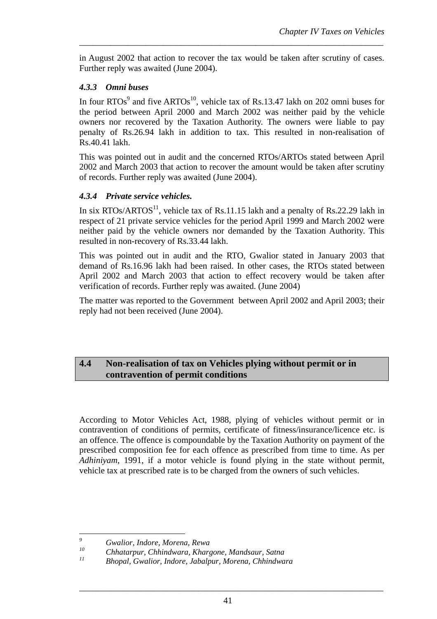in August 2002 that action to recover the tax would be taken after scrutiny of cases. Further reply was awaited (June 2004).

*\_\_\_\_\_\_\_\_\_\_\_\_\_\_\_\_\_\_\_\_\_\_\_\_\_\_\_\_\_\_\_\_\_\_\_\_\_\_\_\_\_\_\_\_\_\_\_\_\_\_\_\_\_\_\_\_\_\_\_\_\_\_\_\_\_\_\_\_\_* 

### *4.3.3 Omni buses*

In four RTOs<sup>9</sup> and five ARTOs<sup>10</sup>, vehicle tax of Rs.13.47 lakh on 202 omni buses for the period between April 2000 and March 2002 was neither paid by the vehicle owners nor recovered by the Taxation Authority. The owners were liable to pay penalty of Rs.26.94 lakh in addition to tax. This resulted in non-realisation of Rs.40.41 lakh.

This was pointed out in audit and the concerned RTOs/ARTOs stated between April 2002 and March 2003 that action to recover the amount would be taken after scrutiny of records. Further reply was awaited (June 2004).

# *4.3.4 Private service vehicles.*

In six  $RTOs/ARTOS<sup>11</sup>$ , vehicle tax of Rs.11.15 lakh and a penalty of Rs.22.29 lakh in respect of 21 private service vehicles for the period April 1999 and March 2002 were neither paid by the vehicle owners nor demanded by the Taxation Authority. This resulted in non-recovery of Rs.33.44 lakh.

This was pointed out in audit and the RTO, Gwalior stated in January 2003 that demand of Rs.16.96 lakh had been raised. In other cases, the RTOs stated between April 2002 and March 2003 that action to effect recovery would be taken after verification of records. Further reply was awaited. (June 2004)

The matter was reported to the Government between April 2002 and April 2003; their reply had not been received (June 2004).

# **4.4 Non-realisation of tax on Vehicles plying without permit or in contravention of permit conditions**

According to Motor Vehicles Act, 1988, plying of vehicles without permit or in contravention of conditions of permits, certificate of fitness/insurance/licence etc. is an offence. The offence is compoundable by the Taxation Authority on payment of the prescribed composition fee for each offence as prescribed from time to time. As per *Adhiniyam*, 1991, if a motor vehicle is found plying in the state without permit, vehicle tax at prescribed rate is to be charged from the owners of such vehicles.

 *9 Gwalior, Indore, Morena, Rewa* 

*<sup>10</sup> Chhatarpur, Chhindwara, Khargone, Mandsaur, Satna* 

*<sup>11</sup> Bhopal, Gwalior, Indore, Jabalpur, Morena, Chhindwara*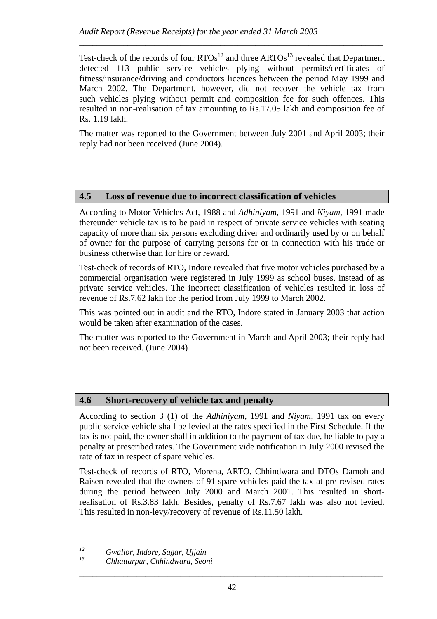Test-check of the records of four  $RTOs<sup>12</sup>$  and three  $ARTOs<sup>13</sup>$  revealed that Department detected 113 public service vehicles plying without permits/certificates of fitness/insurance/driving and conductors licences between the period May 1999 and March 2002. The Department, however, did not recover the vehicle tax from such vehicles plying without permit and composition fee for such offences. This resulted in non-realisation of tax amounting to Rs.17.05 lakh and composition fee of Rs. 1.19 lakh.

*\_\_\_\_\_\_\_\_\_\_\_\_\_\_\_\_\_\_\_\_\_\_\_\_\_\_\_\_\_\_\_\_\_\_\_\_\_\_\_\_\_\_\_\_\_\_\_\_\_\_\_\_\_\_\_\_\_\_\_\_\_\_\_\_\_\_\_\_\_* 

The matter was reported to the Government between July 2001 and April 2003; their reply had not been received (June 2004).

# **4.5 Loss of revenue due to incorrect classification of vehicles**

According to Motor Vehicles Act, 1988 and *Adhiniyam*, 1991 and *Niyam*, 1991 made thereunder vehicle tax is to be paid in respect of private service vehicles with seating capacity of more than six persons excluding driver and ordinarily used by or on behalf of owner for the purpose of carrying persons for or in connection with his trade or business otherwise than for hire or reward.

Test-check of records of RTO, Indore revealed that five motor vehicles purchased by a commercial organisation were registered in July 1999 as school buses, instead of as private service vehicles. The incorrect classification of vehicles resulted in loss of revenue of Rs.7.62 lakh for the period from July 1999 to March 2002.

This was pointed out in audit and the RTO, Indore stated in January 2003 that action would be taken after examination of the cases.

The matter was reported to the Government in March and April 2003; their reply had not been received. (June 2004)

# **4.6 Short-recovery of vehicle tax and penalty**

According to section 3 (1) of the *Adhiniyam*, 1991 and *Niyam*, 1991 tax on every public service vehicle shall be levied at the rates specified in the First Schedule. If the tax is not paid, the owner shall in addition to the payment of tax due, be liable to pay a penalty at prescribed rates. The Government vide notification in July 2000 revised the rate of tax in respect of spare vehicles.

Test-check of records of RTO, Morena, ARTO, Chhindwara and DTOs Damoh and Raisen revealed that the owners of 91 spare vehicles paid the tax at pre-revised rates during the period between July 2000 and March 2001. This resulted in shortrealisation of Rs.3.83 lakh. Besides, penalty of Rs.7.67 lakh was also not levied. This resulted in non-levy/recovery of revenue of Rs.11.50 lakh.

 $12$ *12 Gwalior, Indore, Sagar, Ujjain* 

*<sup>13</sup> Chhattarpur, Chhindwara, Seoni*